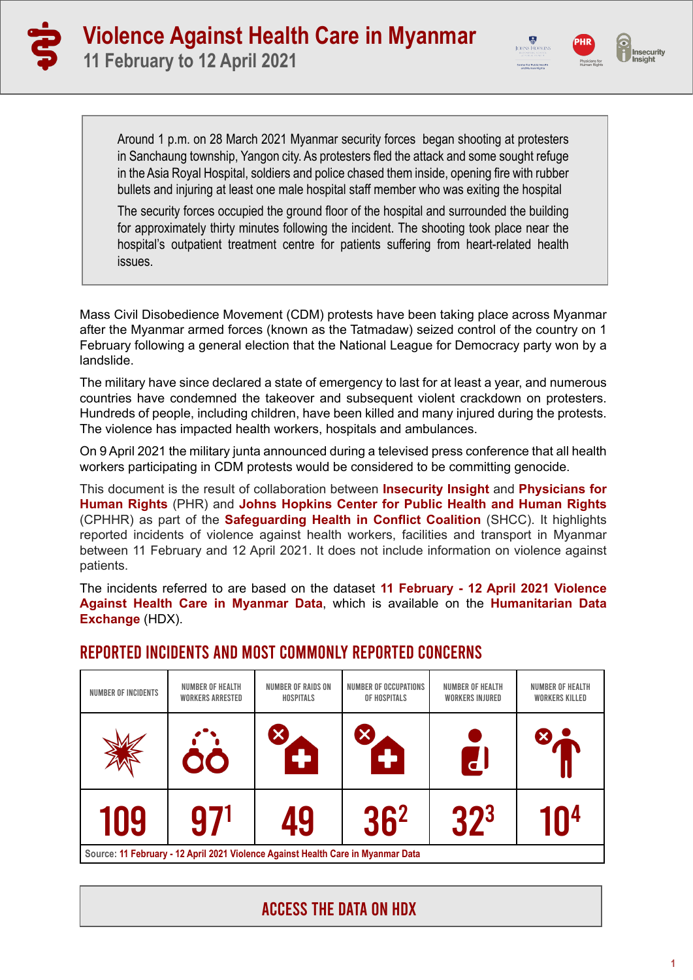



Around 1 p.m. on 28 March 2021 Myanmar security forces began shooting at protesters in Sanchaung township, Yangon city. As protesters fled the attack and some sought refuge in the Asia Royal Hospital, soldiers and police chased them inside, opening fire with rubber bullets and injuring at least one male hospital staff member who was exiting the hospital

The security forces occupied the ground floor of the hospital and surrounded the building for approximately thirty minutes following the incident. The shooting took place near the hospital's outpatient treatment centre for patients suffering from heart-related health issues.

Mass Civil Disobedience Movement (CDM) protests have been taking place across Myanmar after the Myanmar armed forces (known as the Tatmadaw) seized control of the country on 1 February following a general election that the National League for Democracy party won by a landslide.

The military have since declared a state of emergency to last for at least a year, and numerous countries have condemned the takeover and subsequent violent crackdown on protesters. Hundreds of people, including children, have been killed and many injured during the protests. The violence has impacted health workers, hospitals and ambulances.

On 9 April 2021 the military junta announced during a televised press conference that all health workers participating in CDM protests would be considered to be committing genocide.

This document is the result of collaboration between **[Insecurity Insight](http://insecurityinsight.org/)** and **[Physicians for](https://phr.org/) [Human Rights](https://phr.org/)** (PHR) and **[Johns Hopkins Center for Public Health and Human Rights](https://www.jhsph.edu/research/centers-and-institutes/center-for-public-health-and-human-rights/)**  (CPHHR) as part of the **[Safeguarding Health in Conflict Coalition](https://www.safeguardinghealth.org/)** (SHCC). It highlights reported incidents of violence against health workers, facilities and transport in Myanmar between 11 February and 12 April 2021. It does not include information on violence against patients.

The incidents referred to are based on the dataset **[11 February - 12 April 2021 Violence](https://data.humdata.org/dataset/myanmar-attacks-on-aid-operations-education-health-and-protection) [Against Health Care in Myanmar Data](https://data.humdata.org/dataset/myanmar-attacks-on-aid-operations-education-health-and-protection)**, which is available on the **[Humanitarian Data](https://data.humdata.org/dataset/myanmar-attacks-on-aid-operations-education-health-and-protection) [Exchange](https://data.humdata.org/dataset/myanmar-attacks-on-aid-operations-education-health-and-protection)** (HDX).

| NUMBER OF INCIDENTS                                                              | <b>NUMBER OF HEALTH</b><br><b>WORKERS ARRESTED</b> | <b>NUMBER OF RAIDS ON</b><br>HOSPITALS | NUMBER OF OCCUPATIONS<br>OF HOSPITALS | <b>NUMBER OF HEALTH</b><br><b>WORKERS INJURED</b> | <b>NUMBER OF HEALTH</b><br><b>WORKERS KILLED</b> |
|----------------------------------------------------------------------------------|----------------------------------------------------|----------------------------------------|---------------------------------------|---------------------------------------------------|--------------------------------------------------|
|                                                                                  | 00                                                 | $\ddot{\phantom{1}}$                   | $\ddot{\phantom{1}}$                  | $\mathbf{d}$                                      |                                                  |
| 109                                                                              | 97 <sup>1</sup>                                    | 49                                     | 36 <sup>2</sup>                       | 32 <sup>3</sup>                                   | 1በ4                                              |
| Source: 11 February - 12 April 2021 Violence Against Health Care in Myanmar Data |                                                    |                                        |                                       |                                                   |                                                  |

### Reported incidents and most commonly reported concerns

# ACCESS THE DATA [ON HDX](https://data.humdata.org/dataset/myanmar-attacks-on-aid-operations-education-health-and-protection)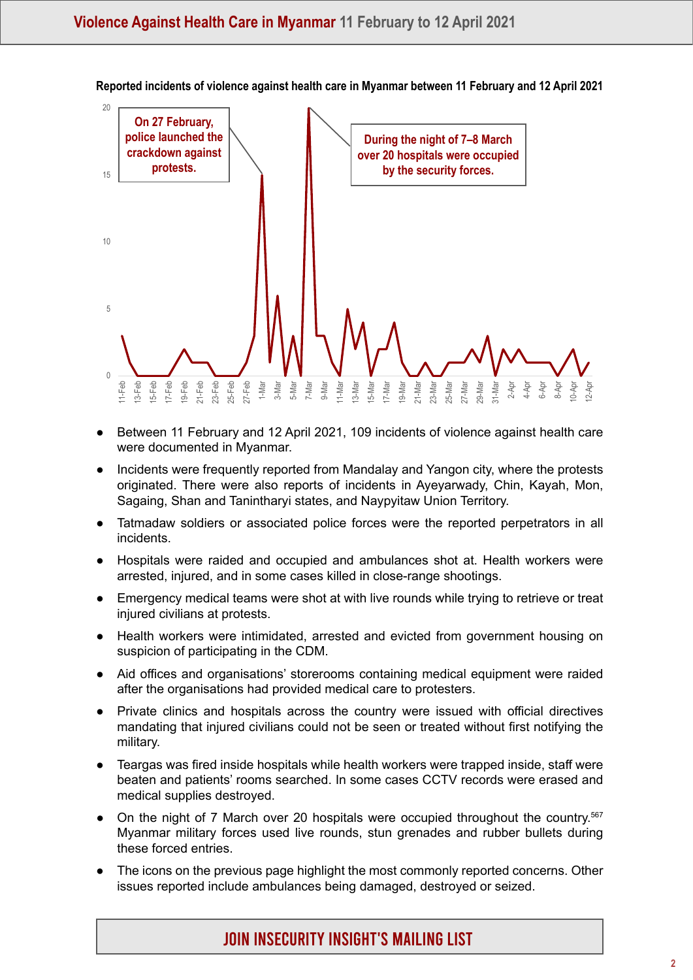

**Reported incidents of violence against health care in Myanmar between 11 February and 12 April 2021** 

- Between 11 February and 12 April 2021, 109 incidents of violence against health care were documented in Myanmar.
- Incidents were frequently reported from Mandalay and Yangon city, where the protests originated. There were also reports of incidents in Ayeyarwady, Chin, Kayah, Mon, Sagaing, Shan and Tanintharyi states, and Naypyitaw Union Territory.
- Tatmadaw soldiers or associated police forces were the reported perpetrators in all incidents.
- Hospitals were raided and occupied and ambulances shot at. Health workers were arrested, injured, and in some cases killed in close-range shootings.
- Emergency medical teams were shot at with live rounds while trying to retrieve or treat injured civilians at protests.
- Health workers were intimidated, arrested and evicted from government housing on suspicion of participating in the CDM.
- Aid offices and organisations' storerooms containing medical equipment were raided after the organisations had provided medical care to protesters.
- ● Private clinics and hospitals across the country were issued with official directives mandating that injured civilians could not be seen or treated without first notifying the military.
- Teargas was fired inside hospitals while health workers were trapped inside, staff were beaten and patients' rooms searched. In some cases CCTV records were erased and medical supplies destroyed.
- On the night of 7 March over 20 hospitals were occupied throughout the country.<sup>567</sup> Myanmar military forces used live rounds, stun grenades and rubber bullets during these forced entries.
- The icons on the previous page highlight the most commonly reported concerns. Other issues reported include ambulances being damaged, destroyed or seized.

JOIN [Insecurity insight's MAILING](https://insecurityinsight.us12.list-manage.com/subscribe?u=6ca1f5d2d10a8ab5e9333c51f&id=e0600a616e) LIST